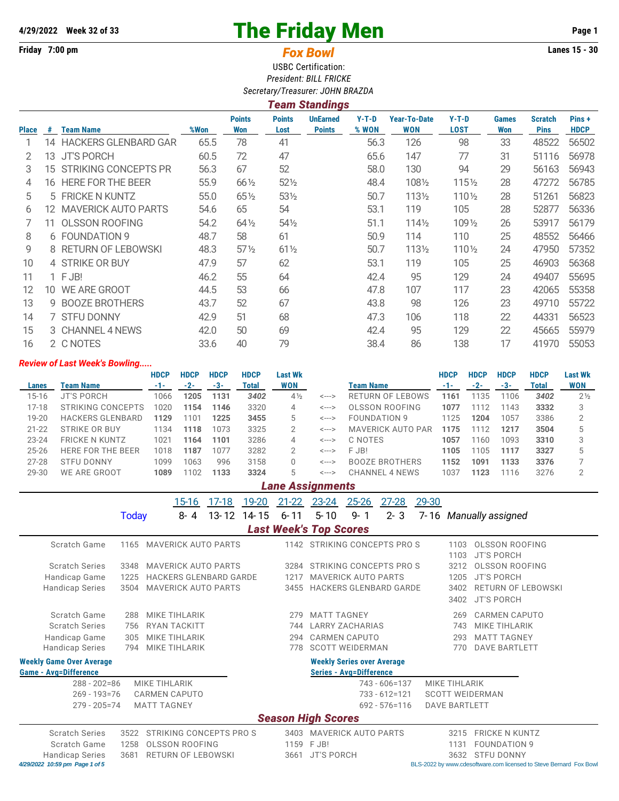## **4/29/2022 Week 32 of 33** Page 1

## **Friday 7:00 pm Lanes 15 - 30** *Fox Bowl*

USBC Certification: *President: BILL FRICKE Secretary/Treasurer: JOHN BRAZDA*

| Team Standings |     |                             |      |                      |                       |                                  |                  |                                   |                        |                     |                               |                      |
|----------------|-----|-----------------------------|------|----------------------|-----------------------|----------------------------------|------------------|-----------------------------------|------------------------|---------------------|-------------------------------|----------------------|
| Place          | #   | Team Name                   | %Won | <b>Points</b><br>Won | <b>Points</b><br>Lost | <b>UnEarned</b><br><b>Points</b> | $Y-T-D$<br>% WON | <b>Year-To-Date</b><br><b>WON</b> | $Y-T-D$<br><b>LOST</b> | <b>Games</b><br>Won | <b>Scratch</b><br><b>Pins</b> | Pins+<br><b>HDCP</b> |
|                | 14  | <b>HACKERS GLENBARD GAR</b> | 65.5 | 78                   | 41                    |                                  | 56.3             | 126                               | 98                     | 33                  | 48522                         | 56502                |
|                | 13  | <b>JT'S PORCH</b>           | 60.5 | 72                   | 47                    |                                  | 65.6             | 147                               | 77                     | 31                  | 51116                         | 56978                |
| 3              | 15. | <b>STRIKING CONCEPTS PR</b> | 56.3 | 67                   | 52                    |                                  | 58.0             | 130                               | 94                     | 29                  | 56163                         | 56943                |
| 4              |     | 16 HERE FOR THE BEER        | 55.9 | $66\frac{1}{2}$      | $52\frac{1}{2}$       |                                  | 48.4             | 1081/2                            | 1151/2                 | 28                  | 47272                         | 56785                |
| 5              |     | 5 FRICKE N KUNTZ            | 55.0 | $65\%$               | 531/2                 |                                  | 50.7             | 1131/2                            | 1101/2                 | 28                  | 51261                         | 56823                |
| 6              | 12. | <b>MAVERICK AUTO PARTS</b>  | 54.6 | 65                   | 54                    |                                  | 53.1             | 119                               | 105                    | 28                  | 52877                         | 56336                |
|                | 11  | <b>OLSSON ROOFING</b>       | 54.2 | $64\frac{1}{2}$      | $54\%$                |                                  | 51.1             | 1141/2                            | 109 1/2                | 26                  | 53917                         | 56179                |
| 8              |     | 6 FOUNDATION 9              | 48.7 | 58                   | 61                    |                                  | 50.9             | 114                               | 110                    | 25                  | 48552                         | 56466                |
| 9              |     | 8 RETURN OF LEBOWSKI        | 48.3 | $57\%$               | $61\frac{1}{2}$       |                                  | 50.7             | 1131/2                            | 110 1/2                | 24                  | 47950                         | 57352                |
| 10             |     | 4 STRIKE OR BUY             | 47.9 | 57                   | 62                    |                                  | 53.1             | 119                               | 105                    | 25                  | 46903                         | 56368                |
| 11             |     | $1$ FJB!                    | 46.2 | 55                   | 64                    |                                  | 42.4             | 95                                | 129                    | 24                  | 49407                         | 55695                |
| 12             | 10. | WE ARE GROOT                | 44.5 | 53                   | 66                    |                                  | 47.8             | 107                               | 117                    | 23                  | 42065                         | 55358                |
| 13             | 9   | <b>BOOZE BROTHERS</b>       | 43.7 | 52                   | 67                    |                                  | 43.8             | 98                                | 126                    | 23                  | 49710                         | 55722                |
| 14             |     | 7 STFU DONNY                | 42.9 | 51                   | 68                    |                                  | 47.3             | 106                               | 118                    | 22                  | 44331                         | 56523                |
| 15             |     | 3 CHANNEL 4 NEWS            | 42.0 | 50                   | 69                    |                                  | 42.4             | 95                                | 129                    | 22                  | 45665                         | 55979                |
| 16             |     | 2 C NOTES                   | 33.6 | 40                   | 79                    |                                  | 38.4             | 86                                | 138                    | 17                  | 41970                         | 55053                |

## *Review of Last Week's Bowling.....*

|           |                          | <b>HDCP</b> | <b>HDCP</b> | <b>HDCP</b> | <b>HDCP</b> | Last Wk        |                            |                          | <b>HDCP</b> | <b>HDCP</b> | <b>HDCP</b> | <b>HDCP</b> | <b>Last Wk</b> |
|-----------|--------------------------|-------------|-------------|-------------|-------------|----------------|----------------------------|--------------------------|-------------|-------------|-------------|-------------|----------------|
| Lanes     | Team Name                | $-1-$       | $-2-$       | -3-         | Total       | <b>WON</b>     |                            | Team Name                |             | $-2-$       | $-3-$       | Total       | <b>WON</b>     |
| $15 - 16$ | <b>JT'S PORCH</b>        | 1066        | 1205        | 1131        | 3402        | $4\frac{1}{2}$ | <--->                      | <b>RETURN OF LEBOWS</b>  | 1161        | 1135        | 1106        | 3402        | $2\frac{1}{2}$ |
| $17-18$   | STRIKING CONCEPTS        | 1020        | 1154        | 1146        | 3320        | 4              | $\leftarrow$ $\rightarrow$ | OLSSON ROOFING           | 1077        | 1112        | 1143        | 3332        | 3              |
| $19 - 20$ | <b>HACKERS GLENBARD</b>  | 1129        | 101         | 1225        | 3455        |                | $\leftarrow$ $\rightarrow$ | FOUNDATION 9             | 1125        | 1204        | 1057        | 3386        |                |
| $21 - 22$ | STRIKE OR BUY            | 1134        | 1118        | 1073        | 3325        |                | $\leftarrow$ $\rightarrow$ | <b>MAVERICK AUTO PAR</b> | 1175        | 112         | 1217        | 3504        |                |
| $23 - 24$ | <b>FRICKE N KUNTZ</b>    | 1021        | 1164        | 1101        | 3286        | 4              | $\leftarrow$ $\rightarrow$ | C NOTES                  | 1057        | 1160        | 1093        | 3310        |                |
| $25 - 26$ | <b>HERE FOR THE BEER</b> | 1018        | 1187        | 1077        | 3282        |                | $\leftarrow$ $\rightarrow$ | F JB!                    | 1105        | 1105        | 1117        | 3327        |                |
| $27 - 28$ | <b>STFU DONNY</b>        | 1099        | 1063        | 996         | 3158        |                | $\leftarrow$ $\rightarrow$ | <b>BOOZE BROTHERS</b>    | 1152        | 1091        | 1133        | 3376        |                |
| 29-30     | WE ARE GROOT             | 1089        | 102         | 1133        | 3324        | 5              | <--->                      | <b>CHANNEL 4 NEWS</b>    | 1037        | 1123        | 1116        | 3276        |                |

## *Lane Assignments*

15-16 17-18 19-20 21-22 23-24 25-26 27-28 29-30 Today 8- 4 13- 12 14- 15 6- 11 5- 10 9- 1 2- 3 7- 16 *Manually assigned Last Week's Top Scores* Scratch Game 1165 MAVERICK AUTO PARTS 1142 STRIKING CONCEPTS PRO S 1103 OLSSON ROOFING 1103 JT'S PORCH Scratch Series 3348 MAVERICK AUTO PARTS 3284 STRIKING CONCEPTS PRO S 3212 OLSSON ROOFING Handicap Game 1225 HACKERS GLENBARD GARDE 1217 MAVERICK AUTO PARTS 1205 JT'S PORCH Handicap Series 3504 MAVERICK AUTO PARTS 3455 HACKERS GLENBARD GARDE 3402 RETURN OF LEBOWSKI 3402 JT'S PORCH Scratch Game 288 MIKE TIHLARIK 279 MATT TAGNEY 269 CARMEN CAPUTO Scratch Series 756 RYAN TACKITT 744 LARRY ZACHARIAS 743 MIKE TIHLARIK Handicap Game 305 MIKE TIHLARIK 294 CARMEN CAPUTO 293 MATT TAGNEY Handicap Series 794 MIKE TIHLARIK 778 SCOTT WEIDERMAN 770 DAVE BARTLETT **Weekly Game Over Average Weekly Series over Average Game - Avg=Difference Series - Avg=Difference** 288 - 202=86 MIKE TIHLARIK 743 - 606=137 MIKE TIHLARIK 269 - 193=76 CARMEN CAPUTO 733 - 612=121 SCOTT WEIDERMAN 279 - 205=74 MATT TAGNEY 692 - 576=116 DAVE BARTLETT *Season High Scores* Scratch Series 3522 STRIKING CONCEPTS PRO S 3403 MAVERICK AUTO PARTS 3215 FRICKE N KUNTZ Scratch Game 1258 OLSSON ROOFING 1159 F JB! 1159 F JB! 1131 FOUNDATION 9

Handicap Series 3681 RETURN OF LEBOWSKI 3661 JT'S PORCH 3632 STFU DONNY<br>429/2022 10:59 pm Page 1 of 5<br>BLS-2022 by www.cdesoftware.com licensed

BLS-2022 by [www.cdesoftware.com l](www.cdesoftware.com)icensed to Steve Bernard Fox Bowl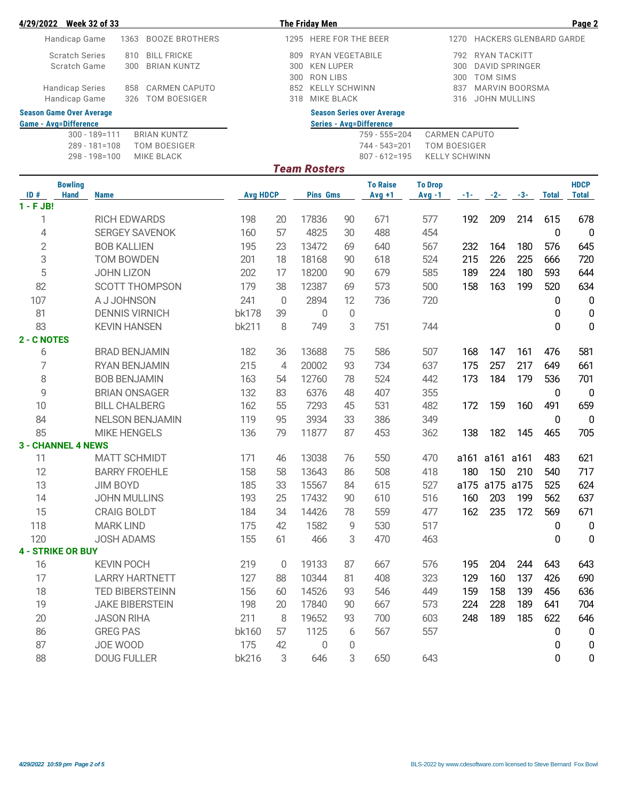| 4/29/2022 Week 32 of 33                                                                              |                                          |                 |                | <b>The Friday Men</b>  |                                           |                                                 |                                             |            |                     |                |              | Page 2       |
|------------------------------------------------------------------------------------------------------|------------------------------------------|-----------------|----------------|------------------------|-------------------------------------------|-------------------------------------------------|---------------------------------------------|------------|---------------------|----------------|--------------|--------------|
| Handicap Game                                                                                        |                                          |                 |                |                        | 1295 HERE FOR THE BEER                    | 1270<br><b>HACKERS GLENBARD GARDE</b>           |                                             |            |                     |                |              |              |
| <b>Scratch Series</b><br>Scratch Game                                                                |                                          |                 | 792<br>300     | RYAN TACKITT           | <b>DAVID SPRINGER</b>                     |                                                 |                                             |            |                     |                |              |              |
|                                                                                                      |                                          |                 |                | <b>RON LIBS</b><br>300 |                                           |                                                 |                                             | 300        | <b>TOM SIMS</b>     |                |              |              |
| <b>Handicap Series</b><br>858<br><b>CARMEN CAPUTO</b><br>Handicap Game<br><b>TOM BOESIGER</b><br>326 |                                          |                 |                | 852<br>318             | <b>KELLY SCHWINN</b><br><b>MIKE BLACK</b> |                                                 |                                             | 837<br>316 | <b>JOHN MULLINS</b> | MARVIN BOORSMA |              |              |
| <b>Season Game Over Average</b><br><b>Game - Avg=Difference</b>                                      |                                          |                 |                |                        |                                           | <b>Season Series over Average</b>               |                                             |            |                     |                |              |              |
|                                                                                                      | $300 - 189 = 111$<br><b>BRIAN KUNTZ</b>  |                 |                |                        |                                           | <b>Series - Avg=Difference</b><br>759 - 555=204 |                                             |            |                     |                |              |              |
|                                                                                                      | <b>TOM BOESIGER</b><br>$289 - 181 = 108$ |                 |                |                        |                                           | 744 - 543=201                                   | <b>CARMEN CAPUTO</b><br><b>TOM BOESIGER</b> |            |                     |                |              |              |
|                                                                                                      | <b>MIKE BLACK</b><br>298 - 198=100       |                 |                |                        |                                           | $807 - 612 = 195$                               | <b>KELLY SCHWINN</b>                        |            |                     |                |              |              |
|                                                                                                      |                                          |                 |                | <b>Team Rosters</b>    |                                           |                                                 |                                             |            |                     |                |              |              |
| <b>Bowling</b>                                                                                       |                                          |                 |                |                        |                                           | <b>To Raise</b>                                 | <b>To Drop</b>                              |            |                     |                |              | <b>HDCP</b>  |
| $\overline{1D}$ #<br>Hand                                                                            | <b>Name</b>                              | <b>Avg HDCP</b> |                | <b>Pins Gms</b>        |                                           | $Avg +1$                                        | $Avg -1$                                    | $-1 - 1$   | $-2-$               | $-3-$          | <b>Total</b> | <b>Total</b> |
| $1 - FJB!$                                                                                           |                                          |                 |                |                        |                                           |                                                 |                                             |            |                     |                |              |              |
| 1                                                                                                    | <b>RICH EDWARDS</b>                      | 198             | 20             | 17836                  | 90                                        | 671                                             | 577                                         | 192        | 209                 | 214            | 615          | 678          |
| 4                                                                                                    | <b>SERGEY SAVENOK</b>                    | 160             | 57             | 4825                   | 30                                        | 488                                             | 454                                         |            |                     |                | 0            | 0            |
| $\overline{2}$                                                                                       | <b>BOB KALLIEN</b>                       | 195             | 23             | 13472                  | 69                                        | 640                                             | 567                                         | 232        | 164                 | 180            | 576          | 645          |
| 3                                                                                                    | TOM BOWDEN                               | 201             | 18             | 18168                  | 90                                        | 618                                             | 524                                         | 215        | 226                 | 225            | 666          | 720          |
| 5                                                                                                    | <b>JOHN LIZON</b>                        | 202             | 17             | 18200                  | 90                                        | 679                                             | 585                                         | 189        | 224                 | 180            | 593          | 644          |
| 82                                                                                                   | <b>SCOTT THOMPSON</b>                    | 179             | 38             | 12387                  | 69                                        | 573                                             | 500                                         | 158        | 163                 | 199            | 520          | 634          |
| 107                                                                                                  | A J JOHNSON                              | 241             | 0              | 2894                   | 12                                        | 736                                             | 720                                         |            |                     |                | 0            | 0            |
| 81                                                                                                   | <b>DENNIS VIRNICH</b>                    | <b>bk178</b>    | 39             | $\mathbf 0$            | $\mathbf 0$                               |                                                 |                                             |            |                     |                | 0            | 0            |
| 83                                                                                                   | <b>KEVIN HANSEN</b>                      | bk211           | 8              | 749                    | 3                                         | 751                                             | 744                                         |            |                     |                | 0            | $\mathbf 0$  |
| 2 - C NOTES                                                                                          |                                          |                 |                |                        |                                           |                                                 |                                             |            |                     |                |              |              |
| 6                                                                                                    | <b>BRAD BENJAMIN</b>                     | 182             | 36             | 13688                  | 75                                        | 586                                             | 507                                         | 168        | 147                 | 161            | 476          | 581          |
| 7                                                                                                    | RYAN BENJAMIN                            | 215             | $\overline{4}$ | 20002                  | 93                                        | 734                                             | 637                                         | 175        | 257                 | 217            | 649          | 661          |
| 8                                                                                                    | <b>BOB BENJAMIN</b>                      | 163             | 54             | 12760                  | 78                                        | 524                                             | 442                                         | 173        | 184                 | 179            | 536          | 701          |
| 9                                                                                                    | <b>BRIAN ONSAGER</b>                     | 132             | 83             | 6376                   | 48                                        | 407                                             | 355                                         |            |                     |                | 0            | 0            |
| 10                                                                                                   | <b>BILL CHALBERG</b>                     | 162             | 55             | 7293                   | 45                                        | 531                                             | 482                                         | 172        | 159                 | 160            | 491          | 659          |
| 84                                                                                                   | <b>NELSON BENJAMIN</b>                   | 119             | 95             | 3934                   | 33                                        | 386                                             | 349                                         |            |                     |                | 0            | 0            |
| 85                                                                                                   | <b>MIKE HENGELS</b>                      | 136             | 79             | 11877                  | 87                                        | 453                                             | 362                                         | 138        | 182                 | 145            | 465          | 705          |
| <b>3 - CHANNEL 4 NEWS</b>                                                                            |                                          |                 |                |                        |                                           |                                                 |                                             |            |                     |                |              |              |
| 11                                                                                                   | <b>MATT SCHMIDT</b>                      | 171             | 46             | 13038                  | 76                                        | 550                                             | 470                                         |            | a161 a161 a161      |                | 483          | 621          |
| 12                                                                                                   | <b>BARRY FROEHLE</b>                     | 158             | 58             | 13643                  | 86                                        | 508                                             | 418                                         |            | 180 150 210         |                | 540          | 717          |
| 13                                                                                                   | JIM BOYD                                 | 185             | 33             | 15567                  | 84                                        | 615                                             | 527                                         |            | a175 a175 a175      |                | 525          | 624          |
| 14                                                                                                   | <b>JOHN MULLINS</b>                      | 193             | 25             | 17432                  | 90                                        | 610                                             | 516                                         | 160        | 203                 | 199            | 562          | 637          |
| 15                                                                                                   | <b>CRAIG BOLDT</b>                       | 184             | 34             | 14426                  | 78                                        | 559                                             | 477                                         | 162        | 235                 | 172            | 569          | 671          |
| 118                                                                                                  | <b>MARK LIND</b>                         | 175             | 42             | 1582                   | 9                                         | 530                                             | 517                                         |            |                     |                | 0            | 0            |
| 120                                                                                                  | <b>JOSH ADAMS</b>                        | 155             | 61             | 466                    | 3                                         | 470                                             | 463                                         |            |                     |                | 0            | 0            |
| <b>4 - STRIKE OR BUY</b>                                                                             |                                          |                 |                |                        |                                           |                                                 |                                             |            |                     |                |              |              |
| 16                                                                                                   | <b>KEVIN POCH</b>                        | 219             | 0              | 19133                  | 87                                        | 667                                             | 576                                         | 195        | 204                 | 244            | 643          | 643          |
| 17                                                                                                   | <b>LARRY HARTNETT</b>                    | 127             | 88             | 10344                  | 81                                        | 408                                             | 323                                         | 129        | 160                 | 137            | 426          | 690          |
| 18                                                                                                   | TED BIBERSTEINN                          | 156             | 60             | 14526                  | 93                                        | 546                                             | 449                                         | 159        | 158                 | 139            | 456          | 636          |
| 19                                                                                                   | <b>JAKE BIBERSTEIN</b>                   | 198             | 20             | 17840                  | 90                                        | 667                                             | 573                                         | 224        | 228                 | 189            | 641          | 704          |
| 20                                                                                                   | <b>JASON RIHA</b>                        | 211             | 8              | 19652                  | 93                                        | 700                                             | 603                                         | 248        | 189                 | 185            | 622          | 646          |
| 86                                                                                                   | <b>GREG PAS</b>                          | bk160           | 57             | 1125                   | 6                                         | 567                                             | 557                                         |            |                     |                | 0            | 0            |
| 87                                                                                                   | JOE WOOD                                 | 175             | 42             | $\mathbf{0}$           | 0                                         |                                                 |                                             |            |                     |                | 0            | 0            |
| 88                                                                                                   | <b>DOUG FULLER</b>                       | bk216           | 3              | 646                    | 3                                         | 650                                             | 643                                         |            |                     |                | 0            | 0            |
|                                                                                                      |                                          |                 |                |                        |                                           |                                                 |                                             |            |                     |                |              |              |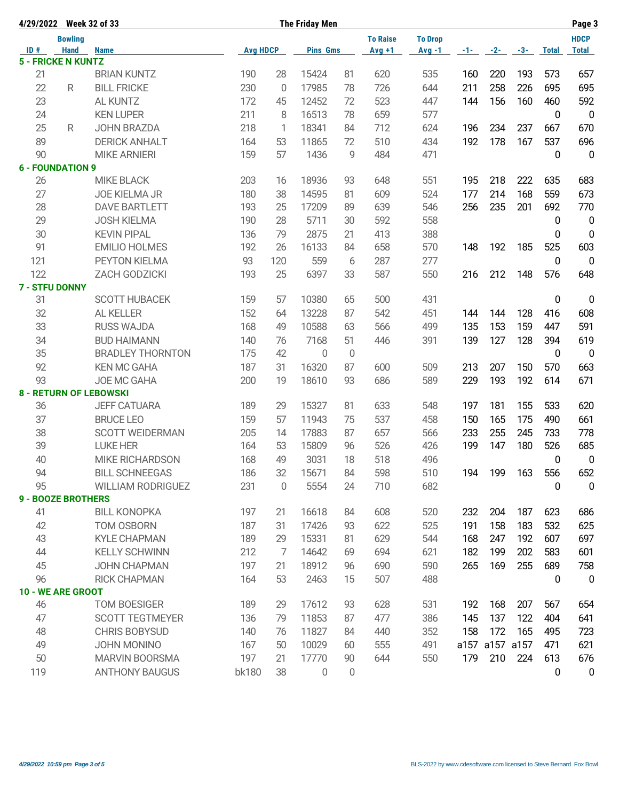|     | 4/29/2022 Week 32 of 33   |                               |                 |             | <b>The Friday Men</b> |                |                 |                |     |                |       |              | Page 3           |
|-----|---------------------------|-------------------------------|-----------------|-------------|-----------------------|----------------|-----------------|----------------|-----|----------------|-------|--------------|------------------|
|     | <b>Bowling</b>            |                               |                 |             |                       |                | <b>To Raise</b> | <b>To Drop</b> |     |                |       |              | <b>HDCP</b>      |
| ID# | <b>Hand</b>               | <b>Name</b>                   | <b>Avg HDCP</b> |             | <b>Pins Gms</b>       |                | $Avg +1$        | $Avg -1$       |     | $-1$ $-2$ $-2$ | $-3-$ | <b>Total</b> | <b>Total</b>     |
|     | <b>5 - FRICKE N KUNTZ</b> |                               |                 |             |                       |                |                 |                |     |                |       |              |                  |
| 21  |                           | <b>BRIAN KUNTZ</b>            | 190             | 28          | 15424                 | 81             | 620             | 535            | 160 | 220            | 193   | 573          | 657              |
| 22  | R                         | <b>BILL FRICKE</b>            | 230             | $\Omega$    | 17985                 | 78             | 726             | 644            | 211 | 258            | 226   | 695          | 695              |
| 23  |                           | <b>AL KUNTZ</b>               | 172             | 45          | 12452                 | 72             | 523             | 447            | 144 | 156            | 160   | 460          | 592              |
| 24  |                           | <b>KEN LUPER</b>              | 211             | 8           | 16513                 | 78             | 659             | 577            |     |                |       | $\bf{0}$     | $\mathbf 0$      |
| 25  | R                         | <b>JOHN BRAZDA</b>            | 218             | 1           | 18341                 | 84             | 712             | 624            | 196 | 234            | 237   | 667          | 670              |
| 89  |                           | <b>DERICK ANHALT</b>          | 164             | 53          | 11865                 | 72             | 510             | 434            | 192 | 178            | 167   | 537          | 696              |
| 90  |                           | <b>MIKE ARNIERI</b>           | 159             | 57          | 1436                  | 9              | 484             | 471            |     |                |       | 0            | $\overline{0}$   |
|     | <b>6 - FOUNDATION 9</b>   |                               |                 |             |                       |                |                 |                |     |                |       |              |                  |
| 26  |                           | <b>MIKE BLACK</b>             | 203             | 16          | 18936                 | 93             | 648             | 551            | 195 | 218            | 222   | 635          | 683              |
| 27  |                           | <b>JOE KIELMA JR</b>          | 180             | 38          | 14595                 | 81             | 609             | 524            | 177 | 214            | 168   | 559          | 673              |
| 28  |                           | <b>DAVE BARTLETT</b>          | 193             | 25          | 17209                 | 89             | 639             | 546            | 256 | 235            | 201   | 692          | 770              |
| 29  |                           | <b>JOSH KIELMA</b>            | 190             | 28          | 5711                  | 30             | 592             | 558            |     |                |       | 0            | $\overline{0}$   |
| 30  |                           | <b>KEVIN PIPAL</b>            | 136             | 79          | 2875                  | 21             | 413             | 388            |     |                |       | 0            | $\mathbf 0$      |
| 91  |                           | <b>EMILIO HOLMES</b>          | 192             | 26          | 16133                 | 84             | 658             | 570            | 148 | 192            | 185   | 525          | 603              |
| 121 |                           | PEYTON KIELMA                 | 93              | 120         | 559                   | 6              | 287             | 277            |     |                |       | $\bf{0}$     | $\overline{0}$   |
| 122 |                           | ZACH GODZICKI                 | 193             | 25          | 6397                  | 33             | 587             | 550            | 216 | 212            | 148   | 576          | 648              |
|     | <b>7 - STFU DONNY</b>     |                               |                 |             |                       |                |                 |                |     |                |       |              |                  |
| 31  |                           | <b>SCOTT HUBACEK</b>          | 159             | 57          | 10380                 | 65             | 500             | 431            |     |                |       | 0            | $\boldsymbol{0}$ |
| 32  |                           | AL KELLER                     | 152             | 64          | 13228                 | 87             | 542             | 451            | 144 | 144            | 128   | 416          | 608              |
| 33  |                           | <b>RUSS WAJDA</b>             | 168             | 49          | 10588                 | 63             | 566             | 499            | 135 | 153            | 159   | 447          | 591              |
| 34  |                           | <b>BUD HAIMANN</b>            | 140             | 76          | 7168                  | 51             | 446             | 391            | 139 | 127            | 128   | 394          | 619              |
| 35  |                           | <b>BRADLEY THORNTON</b>       | 175             | 42          | $\mathbf{0}$          | $\overline{0}$ |                 |                |     |                |       | 0            | $\overline{0}$   |
| 92  |                           | <b>KEN MC GAHA</b>            | 187             | 31          | 16320                 | 87             | 600             | 509            | 213 | 207            | 150   | 570          | 663              |
| 93  |                           | JOE MC GAHA                   | 200             | 19          | 18610                 | 93             | 686             | 589            | 229 | 193            | 192   | 614          | 671              |
|     |                           | <b>8 - RETURN OF LEBOWSKI</b> |                 |             |                       |                |                 |                |     |                |       |              |                  |
| 36  |                           | <b>JEFF CATUARA</b>           | 189             | 29          | 15327                 | 81             | 633             | 548            | 197 | 181            | 155   | 533          | 620              |
| 37  |                           | <b>BRUCE LEO</b>              | 159             | 57          | 11943                 | 75             | 537             | 458            | 150 | 165            | 175   | 490          | 661              |
| 38  |                           | <b>SCOTT WEIDERMAN</b>        | 205             | 14          | 17883                 | 87             | 657             | 566            | 233 | 255            | 245   | 733          | 778              |
| 39  |                           | <b>LUKE HER</b>               | 164             | 53          | 15809                 | 96             | 526             | 426            | 199 | 147            | 180   | 526          | 685              |
| 40  |                           | <b>MIKE RICHARDSON</b>        | 168             | 49          | 3031                  | 18             | 518             | 496            |     |                |       | 0            | 0                |
| 94  |                           | <b>BILL SCHNEEGAS</b>         | 186             | $32\,$      | 15671                 | 84             | 598             | 510            | 194 | 199            | 163   | 556          | 652              |
| 95  |                           | <b>WILLIAM RODRIGUEZ</b>      | 231             | $\mathbf 0$ | 5554                  | 24             | 710             | 682            |     |                |       | 0            | 0                |
|     | <b>9 - BOOZE BROTHERS</b> |                               |                 |             |                       |                |                 |                |     |                |       |              |                  |
| 41  |                           | <b>BILL KONOPKA</b>           | 197             | 21          | 16618                 | 84             | 608             | 520            | 232 | 204            | 187   | 623          | 686              |
| 42  |                           | TOM OSBORN                    | 187             | 31          | 17426                 | 93             | 622             | 525            | 191 | 158            | 183   | 532          | 625              |
| 43  |                           | <b>KYLE CHAPMAN</b>           | 189             | 29          | 15331                 | 81             | 629             | 544            | 168 | 247            | 192   | 607          | 697              |
| 44  |                           | <b>KELLY SCHWINN</b>          | 212             | 7           | 14642                 | 69             | 694             | 621            | 182 | 199            | 202   | 583          | 601              |
| 45  |                           | JOHN CHAPMAN                  | 197             | 21          | 18912                 | 96             | 690             | 590            | 265 | 169            | 255   | 689          | 758              |
| 96  |                           | <b>RICK CHAPMAN</b>           | 164             | 53          | 2463                  | 15             | 507             | 488            |     |                |       | 0            | $\mathbf 0$      |
|     | 10 - WE ARE GROOT         |                               |                 |             |                       |                |                 |                |     |                |       |              |                  |
| 46  |                           | <b>TOM BOESIGER</b>           | 189             | 29          | 17612                 | 93             | 628             | 531            | 192 | 168            | 207   | 567          | 654              |
| 47  |                           | <b>SCOTT TEGTMEYER</b>        | 136             | 79          | 11853                 | 87             | 477             | 386            | 145 | 137            | 122   | 404          | 641              |
| 48  |                           | CHRIS BOBYSUD                 | 140             | 76          | 11827                 | 84             | 440             | 352            | 158 | 172            | 165   | 495          | 723              |
| 49  |                           | JOHN MONINO                   | 167             | 50          | 10029                 | 60             | 555             | 491            |     | a157 a157 a157 |       | 471          | 621              |
|     |                           |                               |                 |             |                       |                |                 |                |     |                |       |              |                  |
| 50  |                           | <b>MARVIN BOORSMA</b>         | 197             | 21          | 17770                 | 90             | 644             | 550            | 179 | 210            | 224   | 613          | 676              |
| 119 |                           | <b>ANTHONY BAUGUS</b>         | bk180           | 38          | 0                     | $\mathbf 0$    |                 |                |     |                |       | 0            | $\pmb{0}$        |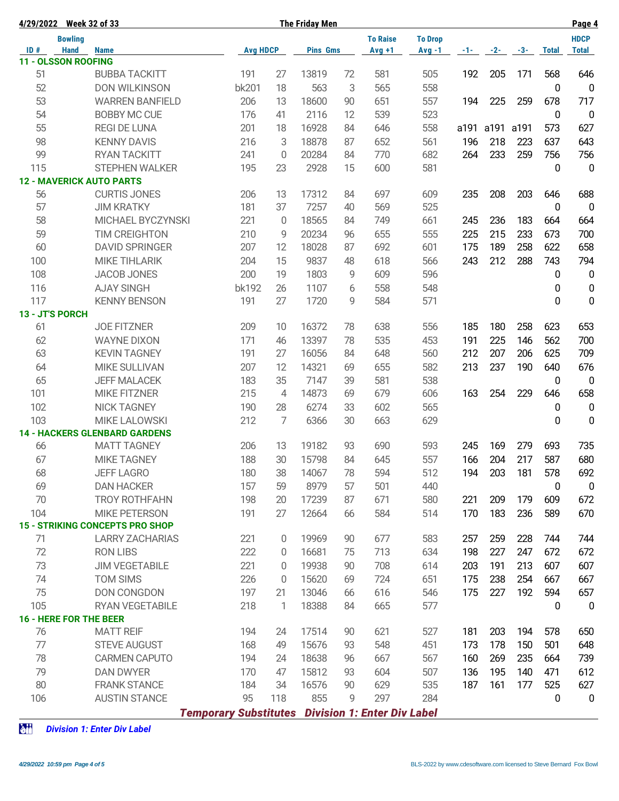| 4/29/2022 Week 32 of 33    |                                        |                              | <b>The Friday Men</b> |                 | Page 4 |                                    |                |       |       |       |              |                |
|----------------------------|----------------------------------------|------------------------------|-----------------------|-----------------|--------|------------------------------------|----------------|-------|-------|-------|--------------|----------------|
|                            | <b>Bowling</b>                         |                              |                       |                 |        | <b>To Raise</b>                    | <b>To Drop</b> |       |       |       |              | <b>HDCP</b>    |
| ID#                        | <b>Hand</b><br><b>Name</b>             | <b>Avg HDCP</b>              |                       | <b>Pins Gms</b> |        | $Avq + 1$                          | $Avg -1$       | $-1-$ | $-2-$ | $-3-$ | <b>Total</b> | <b>Total</b>   |
| <b>11 - OLSSON ROOFING</b> |                                        |                              |                       |                 |        |                                    |                |       |       |       |              |                |
| 51                         | <b>BUBBA TACKITT</b>                   | 191                          | 27                    | 13819           | 72     | 581                                | 505            | 192   | 205   | 171   | 568          | 646            |
| 52                         | <b>DON WILKINSON</b>                   | bk201                        | 18                    | 563             | 3      | 565                                | 558            |       |       |       | 0            | $\mathbf 0$    |
| 53                         | <b>WARREN BANFIELD</b>                 | 206                          | 13                    | 18600           | 90     | 651                                | 557            | 194   | 225   | 259   | 678          | 717            |
| 54                         | <b>BOBBY MC CUE</b>                    | 176                          | 41                    | 2116            | 12     | 539                                | 523            |       |       |       | 0            | 0              |
| 55                         | <b>REGI DE LUNA</b>                    | 201                          | 18                    | 16928           | 84     | 646                                | 558            | a191  | a191  | a191  | 573          | 627            |
| 98                         | <b>KENNY DAVIS</b>                     | 216                          | 3                     | 18878           | 87     | 652                                | 561            | 196   | 218   | 223   | 637          | 643            |
| 99                         | <b>RYAN TACKITT</b>                    | 241                          | 0                     | 20284           | 84     | 770                                | 682            | 264   | 233   | 259   | 756          | 756            |
| 115                        | STEPHEN WALKER                         | 195                          | 23                    | 2928            | 15     | 600                                | 581            |       |       |       | 0            | $\overline{0}$ |
|                            | <b>12 - MAVERICK AUTO PARTS</b>        |                              |                       |                 |        |                                    |                |       |       |       |              |                |
| 56                         | <b>CURTIS JONES</b>                    | 206                          | 13                    | 17312           | 84     | 697                                | 609            | 235   | 208   | 203   | 646          | 688            |
| 57                         | <b>JIM KRATKY</b>                      | 181                          | 37                    | 7257            | 40     | 569                                | 525            |       |       |       | 0            | $\overline{0}$ |
| 58                         | MICHAEL BYCZYNSKI                      | 221                          | $\Omega$              | 18565           | 84     | 749                                | 661            | 245   | 236   | 183   | 664          | 664            |
| 59                         | TIM CREIGHTON                          | 210                          | 9                     | 20234           | 96     | 655                                | 555            | 225   | 215   | 233   | 673          | 700            |
| 60                         | <b>DAVID SPRINGER</b>                  | 207                          | 12                    | 18028           | 87     | 692                                | 601            | 175   | 189   | 258   | 622          | 658            |
| 100                        | <b>MIKE TIHLARIK</b>                   | 204                          | 15                    | 9837            | 48     | 618                                | 566            | 243   | 212   | 288   | 743          | 794            |
| 108                        | <b>JACOB JONES</b>                     | 200                          | 19                    | 1803            | 9      | 609                                | 596            |       |       |       | 0            | $\mathbf 0$    |
| 116                        | <b>AJAY SINGH</b>                      | <b>bk192</b>                 | 26                    | 1107            | 6      | 558                                | 548            |       |       |       | 0            | $\pmb{0}$      |
| 117                        | <b>KENNY BENSON</b>                    | 191                          | 27                    | 1720            | 9      | 584                                | 571            |       |       |       | 0            | $\mathbf 0$    |
| 13 - JT'S PORCH            |                                        |                              |                       |                 |        |                                    |                |       |       |       |              |                |
| 61                         | <b>JOE FITZNER</b>                     | 209                          | 10                    | 16372           | 78     | 638                                | 556            | 185   | 180   | 258   | 623          | 653            |
| 62                         | <b>WAYNE DIXON</b>                     | 171                          | 46                    | 13397           | 78     | 535                                | 453            | 191   | 225   | 146   | 562          | 700            |
| 63                         | <b>KEVIN TAGNEY</b>                    | 191                          | 27                    | 16056           | 84     | 648                                | 560            | 212   | 207   | 206   | 625          | 709            |
| 64                         | MIKE SULLIVAN                          | 207                          | 12                    | 14321           | 69     | 655                                | 582            | 213   | 237   | 190   | 640          | 676            |
| 65                         | <b>JEFF MALACEK</b>                    | 183                          | 35                    | 7147            | 39     | 581                                | 538            |       |       |       | 0            | $\mathbf 0$    |
| 101                        | <b>MIKE FITZNER</b>                    | 215                          | $\overline{4}$        | 14873           | 69     | 679                                | 606            | 163   | 254   | 229   | 646          | 658            |
| 102                        | <b>NICK TAGNEY</b>                     | 190                          | 28                    | 6274            | 33     | 602                                | 565            |       |       |       | 0            | $\mathbf 0$    |
| 103                        | <b>MIKE LALOWSKI</b>                   | 212                          | 7                     | 6366            | 30     | 663                                | 629            |       |       |       | 0            | 0              |
|                            | <b>14 - HACKERS GLENBARD GARDENS</b>   |                              |                       |                 |        |                                    |                |       |       |       |              |                |
| 66                         | <b>MATT TAGNEY</b>                     | 206                          | 13                    | 19182           | 93     | 690                                | 593            | 245   | 169   | 279   | 693          | 735            |
| 67                         | <b>MIKE TAGNEY</b>                     | 188                          | 30                    | 15798           | 84     | 645                                | 557            | 166   | 204   | 217   | 587          | 680            |
| 68                         | <b>JEFF LAGRO</b>                      | 180                          | 38                    | 14067           | 78     | 594                                | 512            | 194   | 203   | 181   | 578          | 692            |
| 69                         | <b>DAN HACKER</b>                      | 157                          | 59                    | 8979            | 57     | 501                                | 440            |       |       |       | 0            | 0              |
| 70                         | <b>TROY ROTHFAHN</b>                   | 198                          | 20                    | 17239           | 87     | 671                                | 580            | 221   | 209   | 179   | 609          | 672            |
| 104                        | <b>MIKE PETERSON</b>                   | 191                          | 27                    | 12664           | 66     | 584                                | 514            | 170   | 183   | 236   | 589          | 670            |
|                            | <b>15 - STRIKING CONCEPTS PRO SHOP</b> |                              |                       |                 |        |                                    |                |       |       |       |              |                |
| 71                         | <b>LARRY ZACHARIAS</b>                 | 221                          | 0                     | 19969           | 90     | 677                                | 583            | 257   | 259   | 228   | 744          | 744            |
| 72                         | <b>RON LIBS</b>                        | 222                          | 0                     | 16681           | 75     | 713                                | 634            | 198   | 227   | 247   | 672          | 672            |
| 73                         | <b>JIM VEGETABILE</b>                  | 221                          | 0                     | 19938           | 90     | 708                                | 614            | 203   | 191   | 213   | 607          | 607            |
| 74                         | <b>TOM SIMS</b>                        | 226                          | 0                     | 15620           | 69     | 724                                | 651            | 175   | 238   | 254   | 667          | 667            |
| 75                         | DON CONGDON                            | 197                          | 21                    | 13046           | 66     | 616                                | 546            | 175   | 227   | 192   | 594          | 657            |
| 105                        | RYAN VEGETABILE                        | 218                          | 1                     | 18388           | 84     | 665                                | 577            |       |       |       | 0            | $\mathbf 0$    |
|                            | <b>16 - HERE FOR THE BEER</b>          |                              |                       |                 |        |                                    |                |       |       |       |              |                |
| 76                         | <b>MATT REIF</b>                       | 194                          | 24                    | 17514           | 90     | 621                                | 527            | 181   | 203   | 194   | 578          | 650            |
| 77                         | <b>STEVE AUGUST</b>                    | 168                          | 49                    | 15676           | 93     | 548                                | 451            | 173   | 178   | 150   | 501          | 648            |
| 78                         | <b>CARMEN CAPUTO</b>                   | 194                          | 24                    | 18638           | 96     | 667                                | 567            | 160   | 269   | 235   | 664          | 739            |
| 79                         | <b>DAN DWYER</b>                       | 170                          | 47                    | 15812           | 93     | 604                                | 507            | 136   | 195   | 140   | 471          | 612            |
| 80                         | <b>FRANK STANCE</b>                    | 184                          | 34                    | 16576           | 90     | 629                                | 535            | 187   | 161   | 177   | 525          | 627            |
| 106                        | <b>AUSTIN STANCE</b>                   | 95                           | 118                   | 855             | 9      | 297                                | 284            |       |       |       | 0            | $\mathbf 0$    |
|                            |                                        |                              |                       |                 |        |                                    |                |       |       |       |              |                |
|                            |                                        | <b>Temporary Substitutes</b> |                       |                 |        | <b>Division 1: Enter Div Label</b> |                |       |       |       |              |                |

z *Division 1: Enter Div Label*